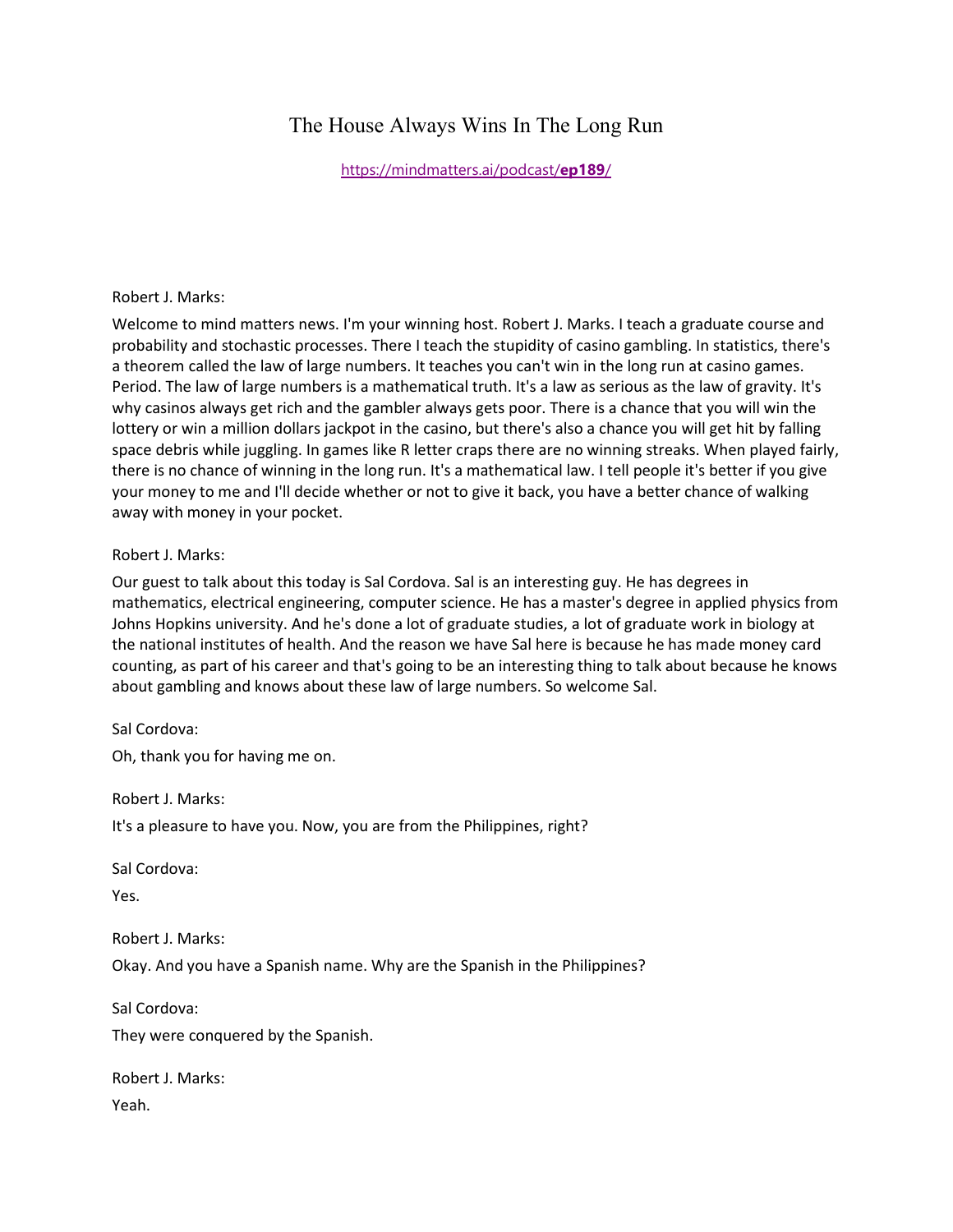# The House Always Wins In The Long Run

[https://mindmatters.ai/podcast/](https://mindmatters.ai/podcast/ep189/)**ep189**/

#### Robert J. Marks:

Welcome to mind matters news. I'm your winning host. Robert J. Marks. I teach a graduate course and probability and stochastic processes. There I teach the stupidity of casino gambling. In statistics, there's a theorem called the law of large numbers. It teaches you can't win in the long run at casino games. Period. The law of large numbers is a mathematical truth. It's a law as serious as the law of gravity. It's why casinos always get rich and the gambler always gets poor. There is a chance that you will win the lottery or win a million dollars jackpot in the casino, but there's also a chance you will get hit by falling space debris while juggling. In games like R letter craps there are no winning streaks. When played fairly, there is no chance of winning in the long run. It's a mathematical law. I tell people it's better if you give your money to me and I'll decide whether or not to give it back, you have a better chance of walking away with money in your pocket.

## Robert J. Marks:

Our guest to talk about this today is Sal Cordova. Sal is an interesting guy. He has degrees in mathematics, electrical engineering, computer science. He has a master's degree in applied physics from Johns Hopkins university. And he's done a lot of graduate studies, a lot of graduate work in biology at the national institutes of health. And the reason we have Sal here is because he has made money card counting, as part of his career and that's going to be an interesting thing to talk about because he knows about gambling and knows about these law of large numbers. So welcome Sal.

Sal Cordova: Oh, thank you for having me on.

Robert J. Marks:

It's a pleasure to have you. Now, you are from the Philippines, right?

Sal Cordova:

Yes.

Robert J. Marks: Okay. And you have a Spanish name. Why are the Spanish in the Philippines?

Sal Cordova:

They were conquered by the Spanish.

Robert J. Marks: Yeah.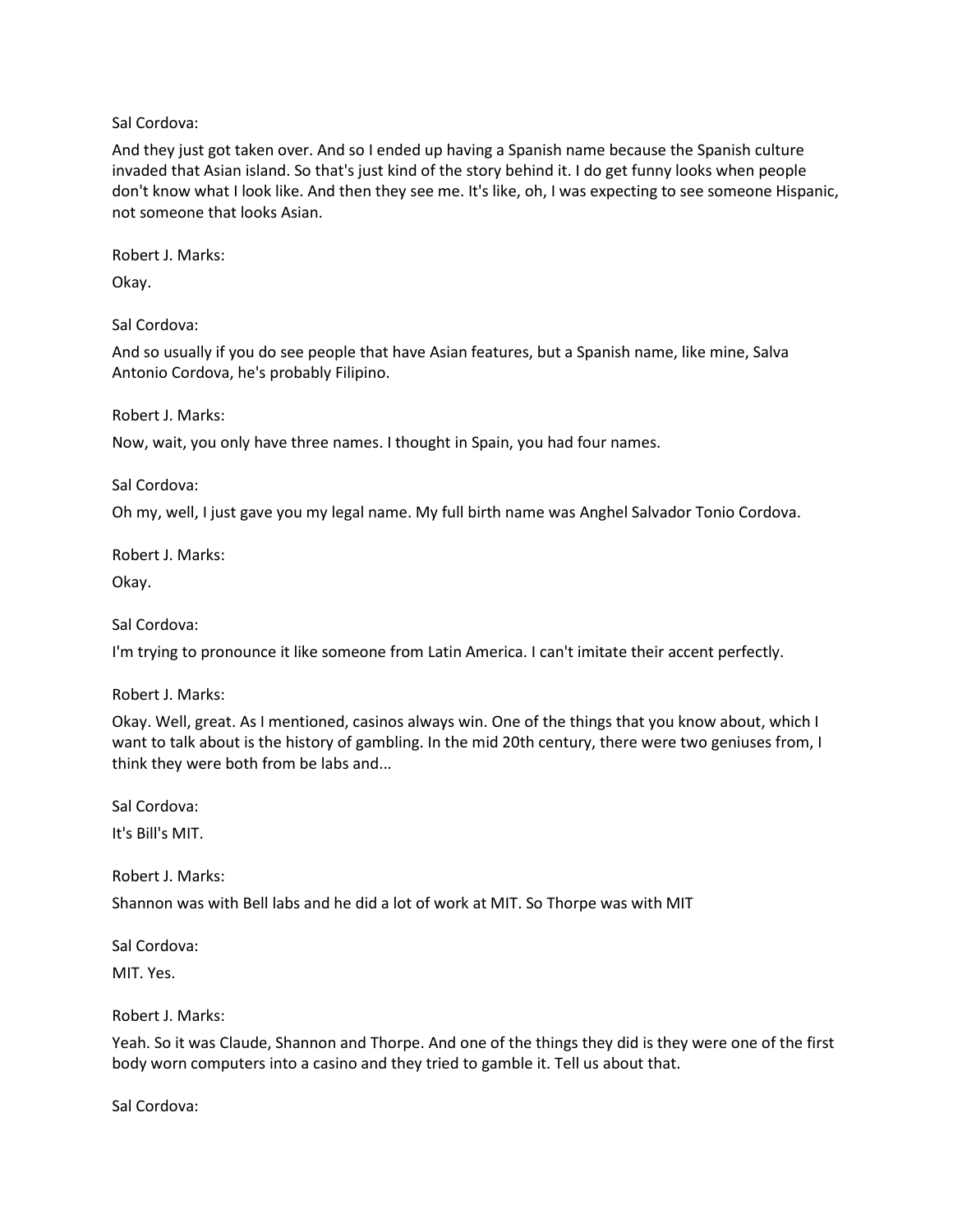Sal Cordova:

And they just got taken over. And so I ended up having a Spanish name because the Spanish culture invaded that Asian island. So that's just kind of the story behind it. I do get funny looks when people don't know what I look like. And then they see me. It's like, oh, I was expecting to see someone Hispanic, not someone that looks Asian.

Robert J. Marks:

Okay.

Sal Cordova:

And so usually if you do see people that have Asian features, but a Spanish name, like mine, Salva Antonio Cordova, he's probably Filipino.

Robert J. Marks:

Now, wait, you only have three names. I thought in Spain, you had four names.

Sal Cordova:

Oh my, well, I just gave you my legal name. My full birth name was Anghel Salvador Tonio Cordova.

Robert J. Marks:

Okay.

Sal Cordova:

I'm trying to pronounce it like someone from Latin America. I can't imitate their accent perfectly.

Robert J. Marks:

Okay. Well, great. As I mentioned, casinos always win. One of the things that you know about, which I want to talk about is the history of gambling. In the mid 20th century, there were two geniuses from, I think they were both from be labs and...

Sal Cordova:

It's Bill's MIT.

Robert J. Marks:

Shannon was with Bell labs and he did a lot of work at MIT. So Thorpe was with MIT

Sal Cordova: MIT. Yes.

Robert J. Marks:

Yeah. So it was Claude, Shannon and Thorpe. And one of the things they did is they were one of the first body worn computers into a casino and they tried to gamble it. Tell us about that.

Sal Cordova: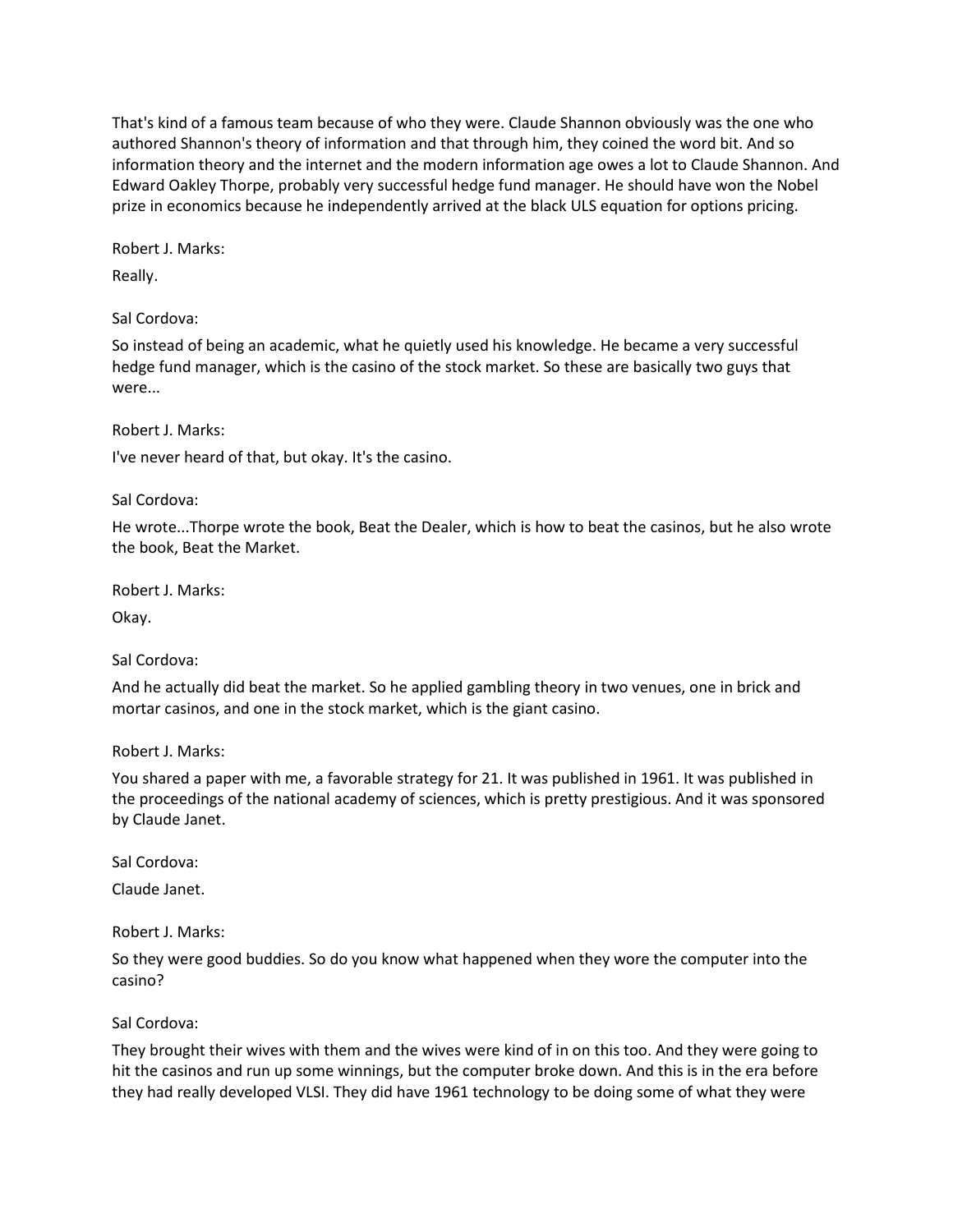That's kind of a famous team because of who they were. Claude Shannon obviously was the one who authored Shannon's theory of information and that through him, they coined the word bit. And so information theory and the internet and the modern information age owes a lot to Claude Shannon. And Edward Oakley Thorpe, probably very successful hedge fund manager. He should have won the Nobel prize in economics because he independently arrived at the black ULS equation for options pricing.

Robert J. Marks:

Really.

Sal Cordova:

So instead of being an academic, what he quietly used his knowledge. He became a very successful hedge fund manager, which is the casino of the stock market. So these are basically two guys that were...

Robert J. Marks:

I've never heard of that, but okay. It's the casino.

Sal Cordova:

He wrote...Thorpe wrote the book, Beat the Dealer, which is how to beat the casinos, but he also wrote the book, Beat the Market.

Robert J. Marks:

Okay.

Sal Cordova:

And he actually did beat the market. So he applied gambling theory in two venues, one in brick and mortar casinos, and one in the stock market, which is the giant casino.

Robert J. Marks:

You shared a paper with me, a favorable strategy for 21. It was published in 1961. It was published in the proceedings of the national academy of sciences, which is pretty prestigious. And it was sponsored by Claude Janet.

Sal Cordova:

Claude Janet.

Robert J. Marks:

So they were good buddies. So do you know what happened when they wore the computer into the casino?

Sal Cordova:

They brought their wives with them and the wives were kind of in on this too. And they were going to hit the casinos and run up some winnings, but the computer broke down. And this is in the era before they had really developed VLSI. They did have 1961 technology to be doing some of what they were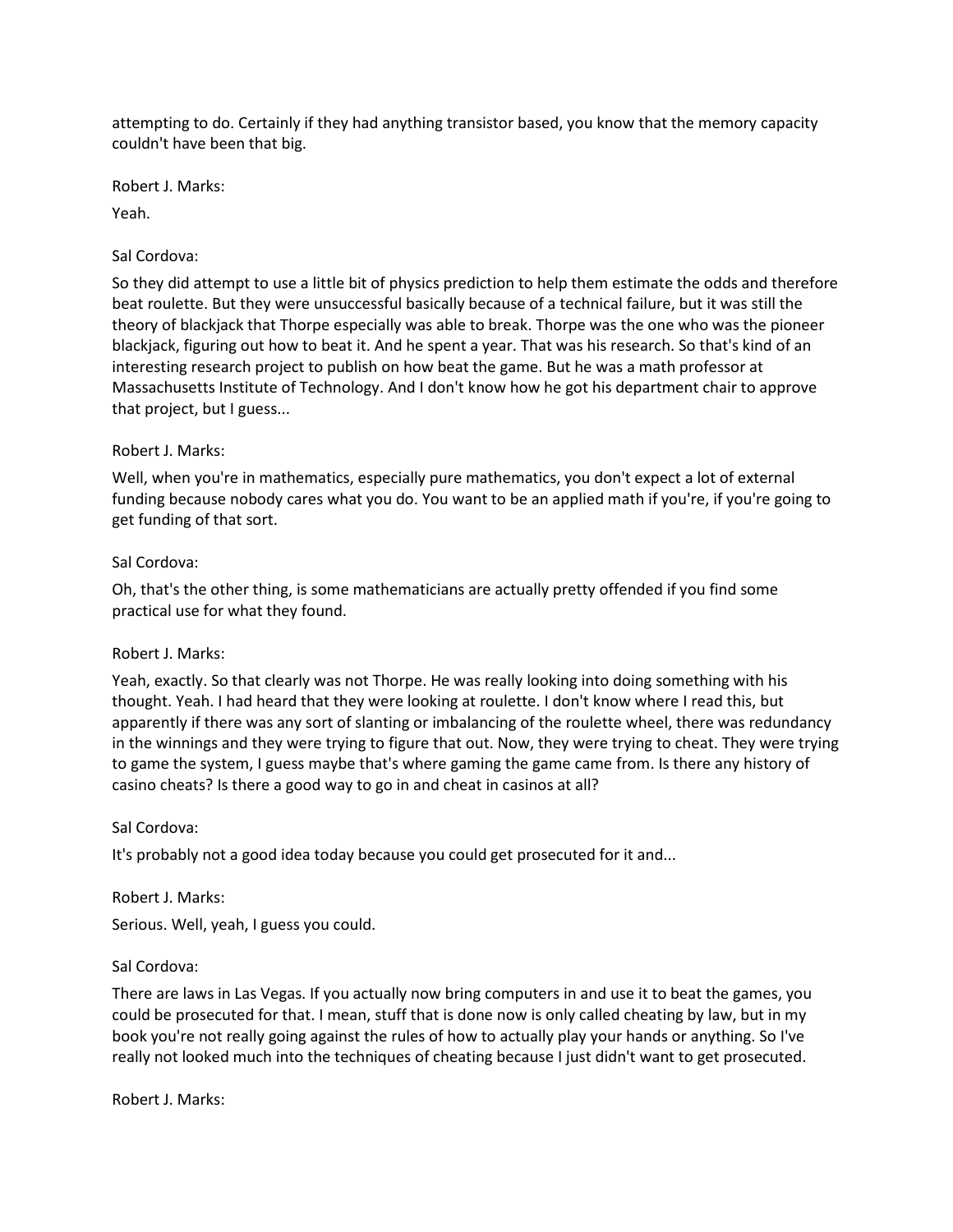attempting to do. Certainly if they had anything transistor based, you know that the memory capacity couldn't have been that big.

Robert J. Marks:

Yeah.

## Sal Cordova:

So they did attempt to use a little bit of physics prediction to help them estimate the odds and therefore beat roulette. But they were unsuccessful basically because of a technical failure, but it was still the theory of blackjack that Thorpe especially was able to break. Thorpe was the one who was the pioneer blackjack, figuring out how to beat it. And he spent a year. That was his research. So that's kind of an interesting research project to publish on how beat the game. But he was a math professor at Massachusetts Institute of Technology. And I don't know how he got his department chair to approve that project, but I guess...

## Robert J. Marks:

Well, when you're in mathematics, especially pure mathematics, you don't expect a lot of external funding because nobody cares what you do. You want to be an applied math if you're, if you're going to get funding of that sort.

## Sal Cordova:

Oh, that's the other thing, is some mathematicians are actually pretty offended if you find some practical use for what they found.

## Robert J. Marks:

Yeah, exactly. So that clearly was not Thorpe. He was really looking into doing something with his thought. Yeah. I had heard that they were looking at roulette. I don't know where I read this, but apparently if there was any sort of slanting or imbalancing of the roulette wheel, there was redundancy in the winnings and they were trying to figure that out. Now, they were trying to cheat. They were trying to game the system, I guess maybe that's where gaming the game came from. Is there any history of casino cheats? Is there a good way to go in and cheat in casinos at all?

## Sal Cordova:

It's probably not a good idea today because you could get prosecuted for it and...

Robert J. Marks:

Serious. Well, yeah, I guess you could.

## Sal Cordova:

There are laws in Las Vegas. If you actually now bring computers in and use it to beat the games, you could be prosecuted for that. I mean, stuff that is done now is only called cheating by law, but in my book you're not really going against the rules of how to actually play your hands or anything. So I've really not looked much into the techniques of cheating because I just didn't want to get prosecuted.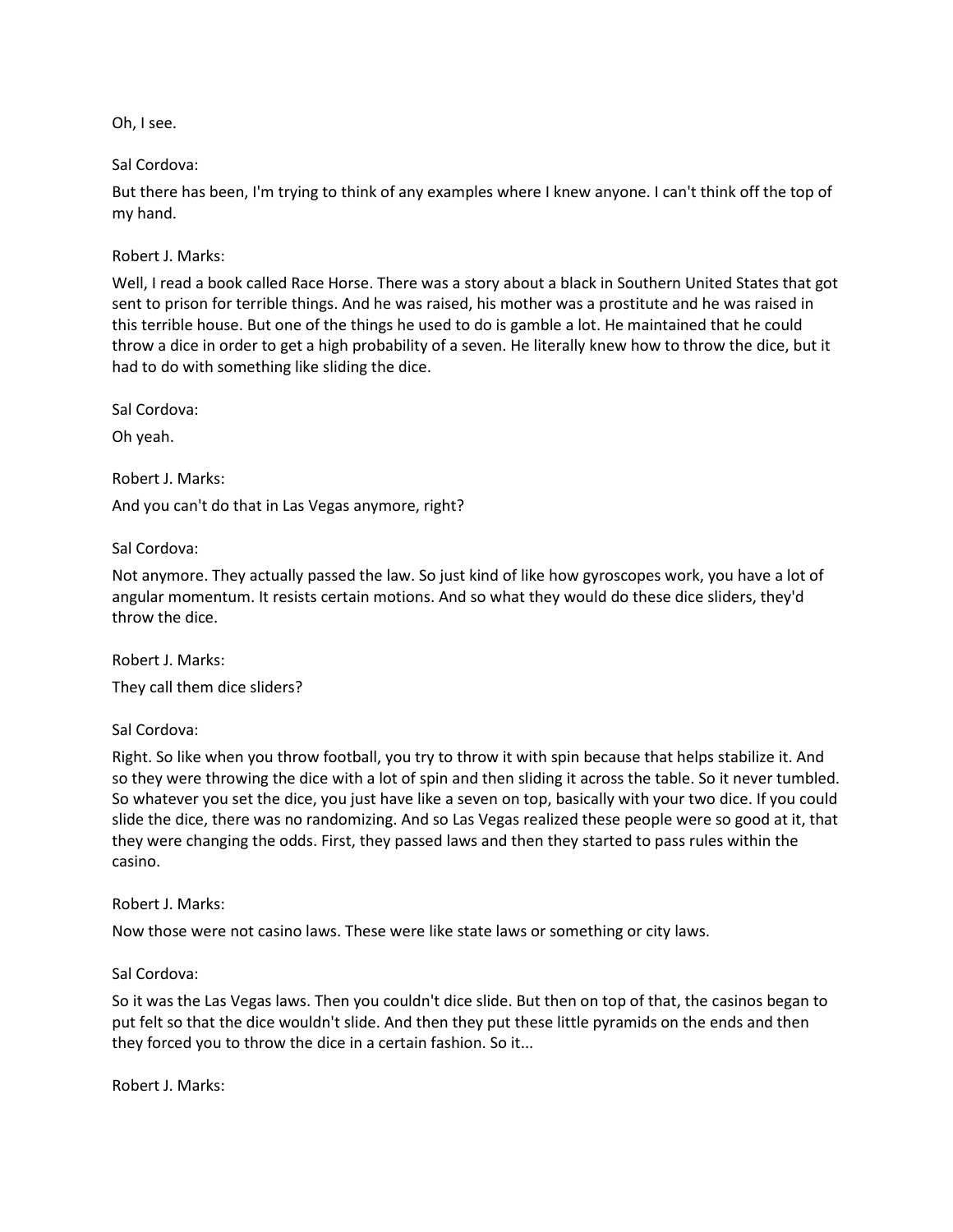Oh, I see.

#### Sal Cordova:

But there has been, I'm trying to think of any examples where I knew anyone. I can't think off the top of my hand.

Robert J. Marks:

Well, I read a book called Race Horse. There was a story about a black in Southern United States that got sent to prison for terrible things. And he was raised, his mother was a prostitute and he was raised in this terrible house. But one of the things he used to do is gamble a lot. He maintained that he could throw a dice in order to get a high probability of a seven. He literally knew how to throw the dice, but it had to do with something like sliding the dice.

Sal Cordova:

Oh yeah.

Robert J. Marks:

And you can't do that in Las Vegas anymore, right?

Sal Cordova:

Not anymore. They actually passed the law. So just kind of like how gyroscopes work, you have a lot of angular momentum. It resists certain motions. And so what they would do these dice sliders, they'd throw the dice.

Robert J. Marks: They call them dice sliders?

Sal Cordova:

Right. So like when you throw football, you try to throw it with spin because that helps stabilize it. And so they were throwing the dice with a lot of spin and then sliding it across the table. So it never tumbled. So whatever you set the dice, you just have like a seven on top, basically with your two dice. If you could slide the dice, there was no randomizing. And so Las Vegas realized these people were so good at it, that they were changing the odds. First, they passed laws and then they started to pass rules within the casino.

Robert J. Marks:

Now those were not casino laws. These were like state laws or something or city laws.

#### Sal Cordova:

So it was the Las Vegas laws. Then you couldn't dice slide. But then on top of that, the casinos began to put felt so that the dice wouldn't slide. And then they put these little pyramids on the ends and then they forced you to throw the dice in a certain fashion. So it...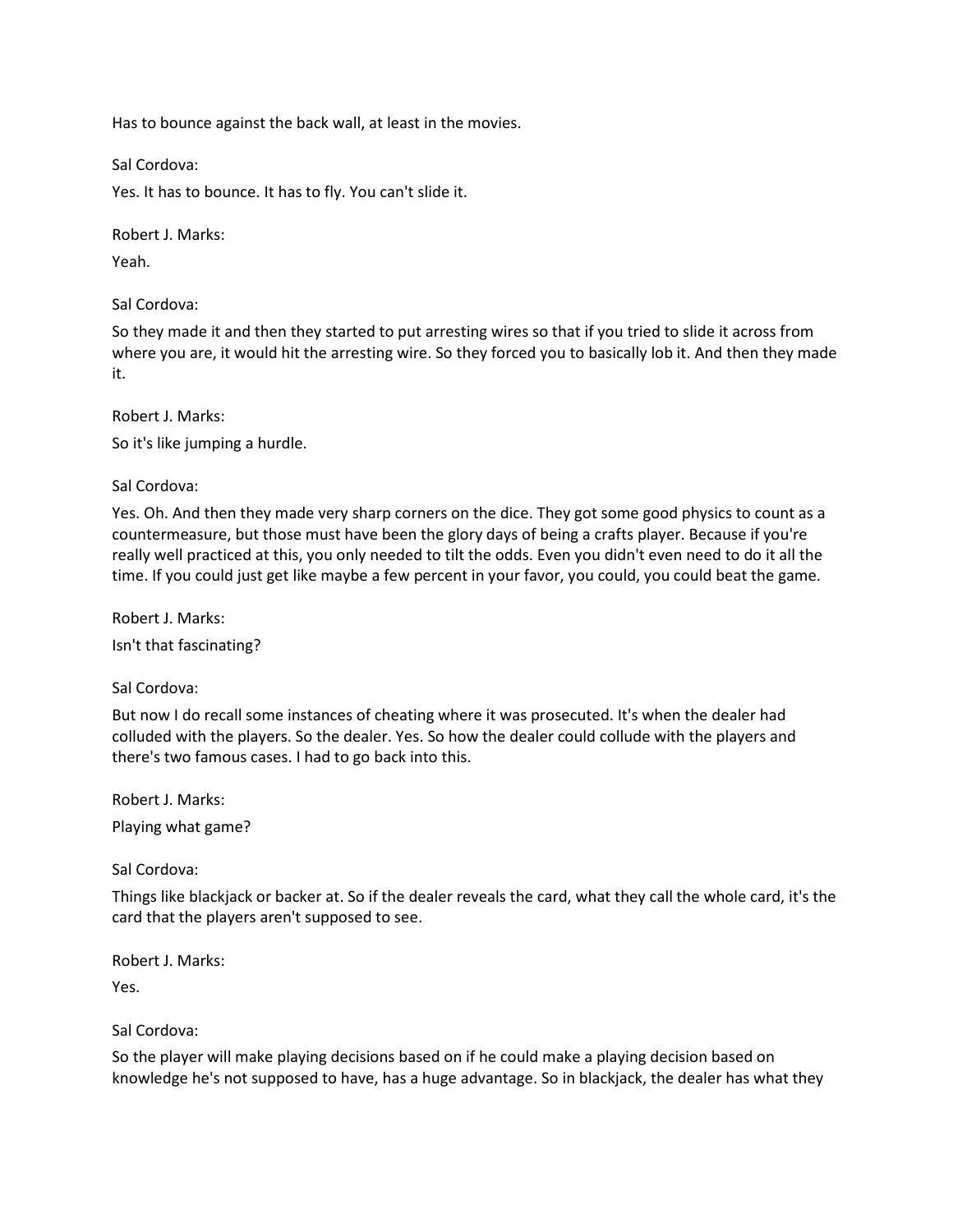Has to bounce against the back wall, at least in the movies.

Sal Cordova:

Yes. It has to bounce. It has to fly. You can't slide it.

Robert J. Marks: Yeah.

Sal Cordova:

So they made it and then they started to put arresting wires so that if you tried to slide it across from where you are, it would hit the arresting wire. So they forced you to basically lob it. And then they made it.

Robert J. Marks:

So it's like jumping a hurdle.

Sal Cordova:

Yes. Oh. And then they made very sharp corners on the dice. They got some good physics to count as a countermeasure, but those must have been the glory days of being a crafts player. Because if you're really well practiced at this, you only needed to tilt the odds. Even you didn't even need to do it all the time. If you could just get like maybe a few percent in your favor, you could, you could beat the game.

Robert J. Marks: Isn't that fascinating?

Sal Cordova:

But now I do recall some instances of cheating where it was prosecuted. It's when the dealer had colluded with the players. So the dealer. Yes. So how the dealer could collude with the players and there's two famous cases. I had to go back into this.

Robert J. Marks:

Playing what game?

Sal Cordova:

Things like blackjack or backer at. So if the dealer reveals the card, what they call the whole card, it's the card that the players aren't supposed to see.

Robert J. Marks: Yes.

Sal Cordova:

So the player will make playing decisions based on if he could make a playing decision based on knowledge he's not supposed to have, has a huge advantage. So in blackjack, the dealer has what they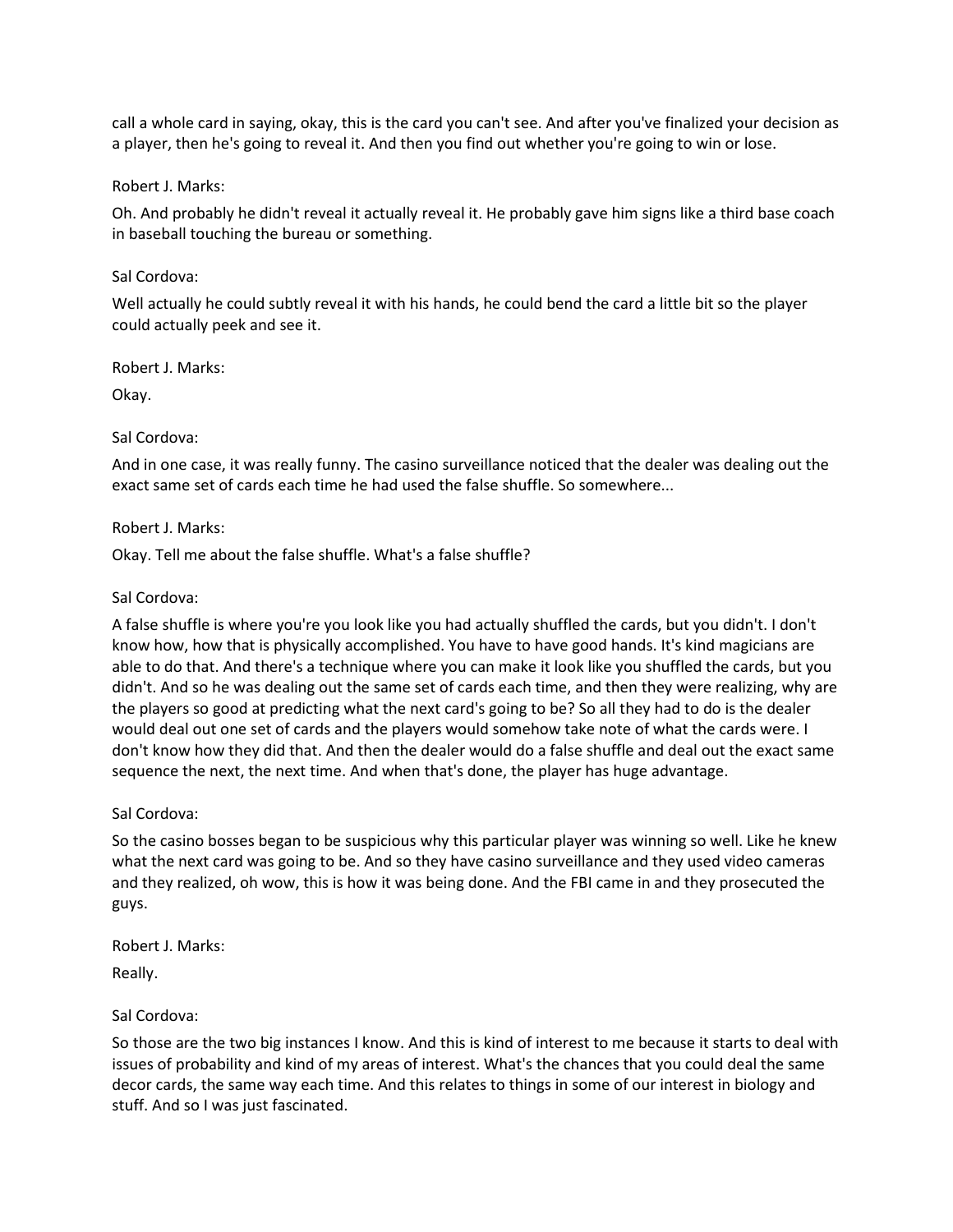call a whole card in saying, okay, this is the card you can't see. And after you've finalized your decision as a player, then he's going to reveal it. And then you find out whether you're going to win or lose.

#### Robert J. Marks:

Oh. And probably he didn't reveal it actually reveal it. He probably gave him signs like a third base coach in baseball touching the bureau or something.

#### Sal Cordova:

Well actually he could subtly reveal it with his hands, he could bend the card a little bit so the player could actually peek and see it.

Robert J. Marks:

Okay.

#### Sal Cordova:

And in one case, it was really funny. The casino surveillance noticed that the dealer was dealing out the exact same set of cards each time he had used the false shuffle. So somewhere...

#### Robert J. Marks:

Okay. Tell me about the false shuffle. What's a false shuffle?

#### Sal Cordova:

A false shuffle is where you're you look like you had actually shuffled the cards, but you didn't. I don't know how, how that is physically accomplished. You have to have good hands. It's kind magicians are able to do that. And there's a technique where you can make it look like you shuffled the cards, but you didn't. And so he was dealing out the same set of cards each time, and then they were realizing, why are the players so good at predicting what the next card's going to be? So all they had to do is the dealer would deal out one set of cards and the players would somehow take note of what the cards were. I don't know how they did that. And then the dealer would do a false shuffle and deal out the exact same sequence the next, the next time. And when that's done, the player has huge advantage.

## Sal Cordova:

So the casino bosses began to be suspicious why this particular player was winning so well. Like he knew what the next card was going to be. And so they have casino surveillance and they used video cameras and they realized, oh wow, this is how it was being done. And the FBI came in and they prosecuted the guys.

Robert J. Marks:

Really.

## Sal Cordova:

So those are the two big instances I know. And this is kind of interest to me because it starts to deal with issues of probability and kind of my areas of interest. What's the chances that you could deal the same decor cards, the same way each time. And this relates to things in some of our interest in biology and stuff. And so I was just fascinated.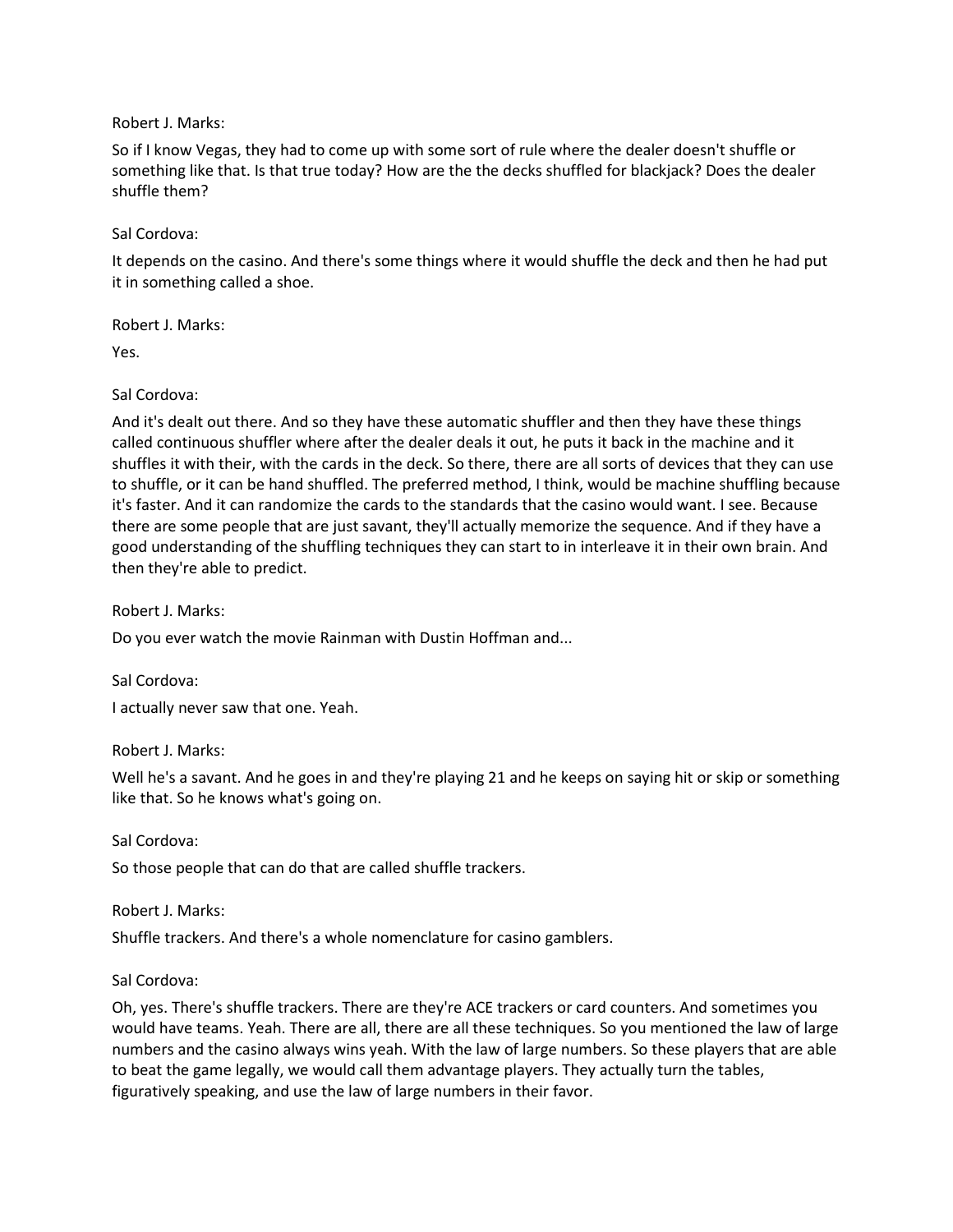Robert J. Marks:

So if I know Vegas, they had to come up with some sort of rule where the dealer doesn't shuffle or something like that. Is that true today? How are the the decks shuffled for blackjack? Does the dealer shuffle them?

Sal Cordova:

It depends on the casino. And there's some things where it would shuffle the deck and then he had put it in something called a shoe.

Robert J. Marks:

Yes.

Sal Cordova:

And it's dealt out there. And so they have these automatic shuffler and then they have these things called continuous shuffler where after the dealer deals it out, he puts it back in the machine and it shuffles it with their, with the cards in the deck. So there, there are all sorts of devices that they can use to shuffle, or it can be hand shuffled. The preferred method, I think, would be machine shuffling because it's faster. And it can randomize the cards to the standards that the casino would want. I see. Because there are some people that are just savant, they'll actually memorize the sequence. And if they have a good understanding of the shuffling techniques they can start to in interleave it in their own brain. And then they're able to predict.

Robert J. Marks:

Do you ever watch the movie Rainman with Dustin Hoffman and...

Sal Cordova:

I actually never saw that one. Yeah.

Robert J. Marks:

Well he's a savant. And he goes in and they're playing 21 and he keeps on saying hit or skip or something like that. So he knows what's going on.

Sal Cordova:

So those people that can do that are called shuffle trackers.

Robert J. Marks:

Shuffle trackers. And there's a whole nomenclature for casino gamblers.

Sal Cordova:

Oh, yes. There's shuffle trackers. There are they're ACE trackers or card counters. And sometimes you would have teams. Yeah. There are all, there are all these techniques. So you mentioned the law of large numbers and the casino always wins yeah. With the law of large numbers. So these players that are able to beat the game legally, we would call them advantage players. They actually turn the tables, figuratively speaking, and use the law of large numbers in their favor.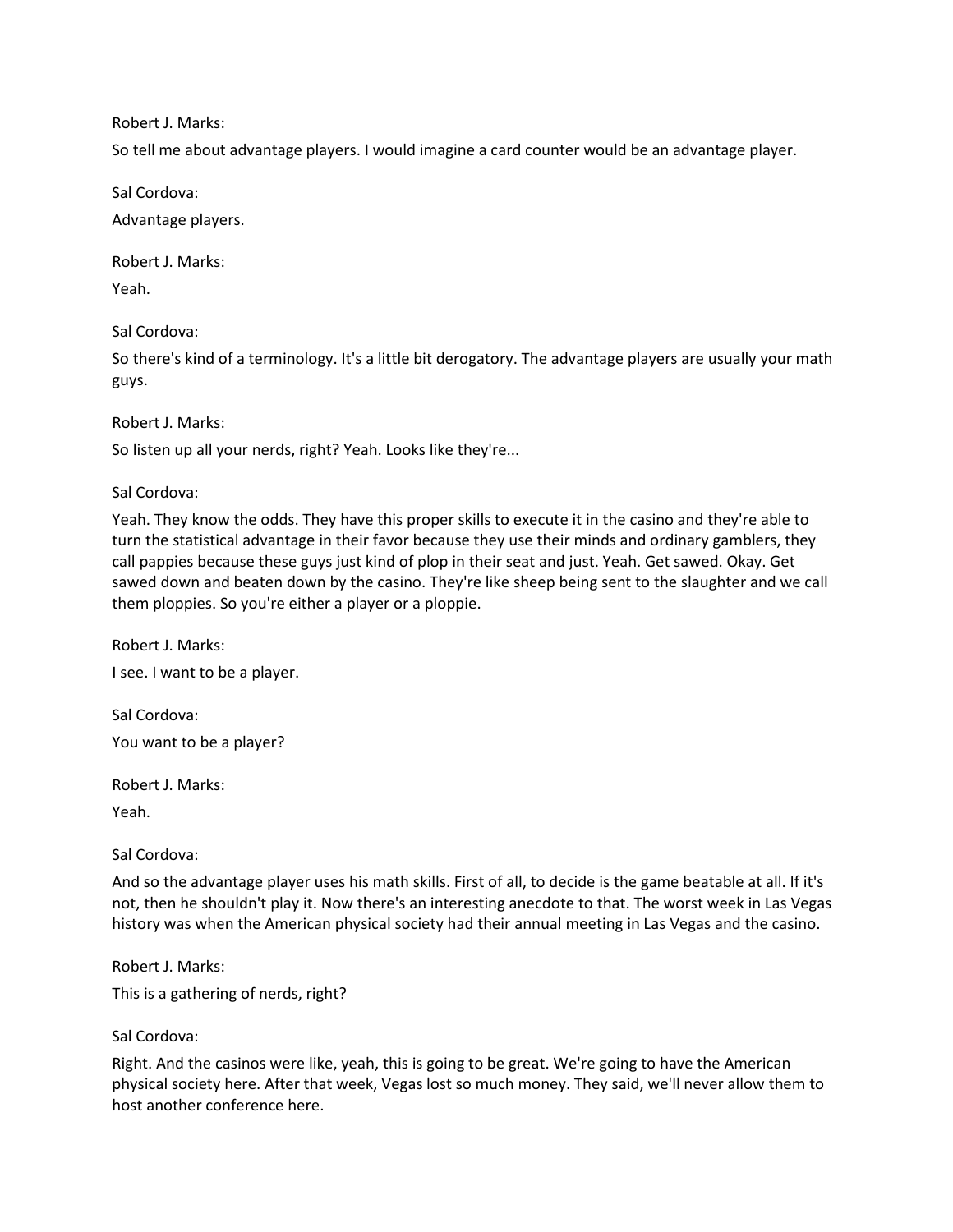Robert J. Marks:

So tell me about advantage players. I would imagine a card counter would be an advantage player.

Sal Cordova:

Advantage players.

Robert J. Marks:

Yeah.

Sal Cordova:

So there's kind of a terminology. It's a little bit derogatory. The advantage players are usually your math guys.

Robert J. Marks:

So listen up all your nerds, right? Yeah. Looks like they're...

Sal Cordova:

Yeah. They know the odds. They have this proper skills to execute it in the casino and they're able to turn the statistical advantage in their favor because they use their minds and ordinary gamblers, they call pappies because these guys just kind of plop in their seat and just. Yeah. Get sawed. Okay. Get sawed down and beaten down by the casino. They're like sheep being sent to the slaughter and we call them ploppies. So you're either a player or a ploppie.

Robert J. Marks: I see. I want to be a player.

Sal Cordova: You want to be a player?

Robert J. Marks:

Yeah.

Sal Cordova:

And so the advantage player uses his math skills. First of all, to decide is the game beatable at all. If it's not, then he shouldn't play it. Now there's an interesting anecdote to that. The worst week in Las Vegas history was when the American physical society had their annual meeting in Las Vegas and the casino.

Robert J. Marks:

This is a gathering of nerds, right?

## Sal Cordova:

Right. And the casinos were like, yeah, this is going to be great. We're going to have the American physical society here. After that week, Vegas lost so much money. They said, we'll never allow them to host another conference here.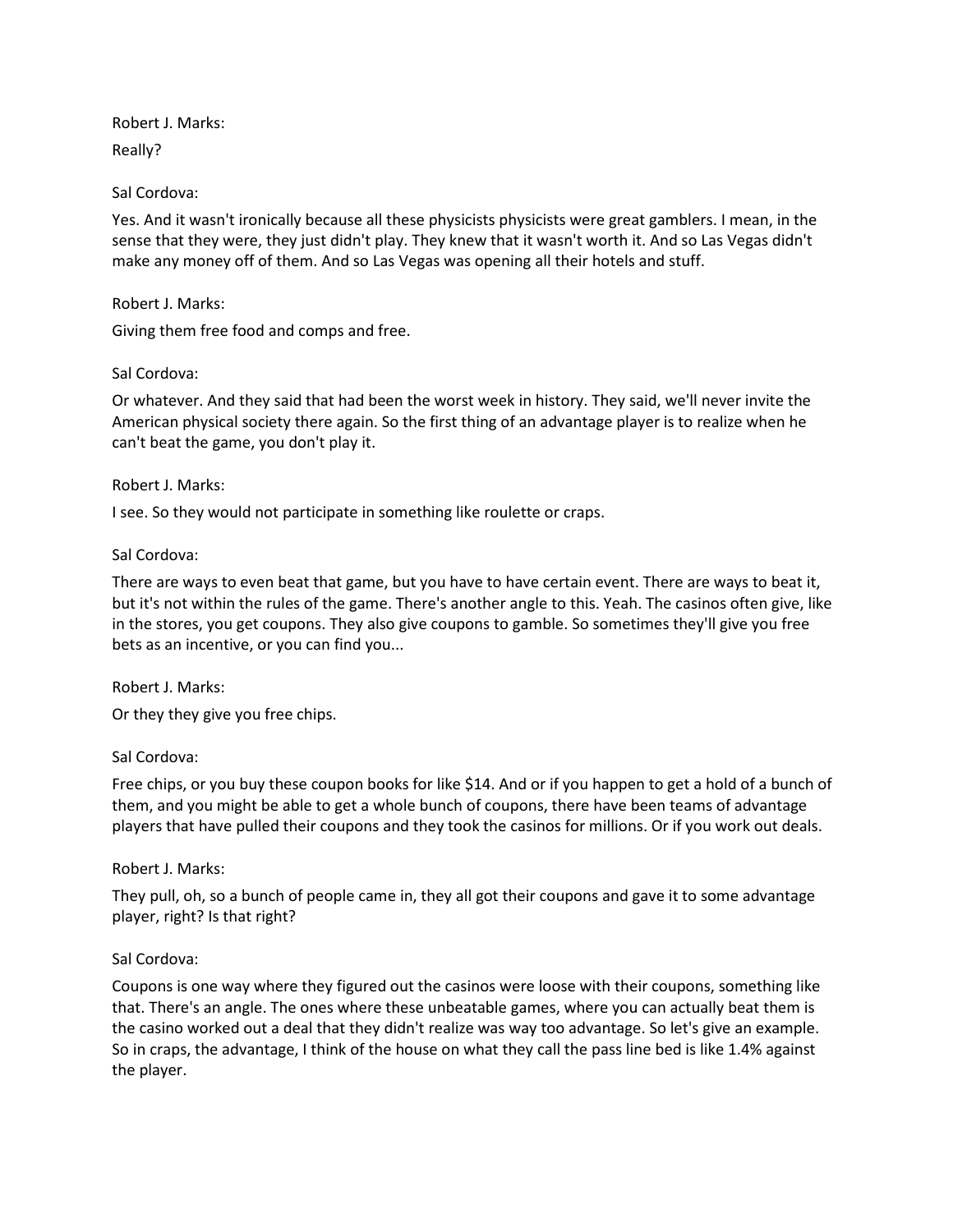Robert J. Marks: Really?

## Sal Cordova:

Yes. And it wasn't ironically because all these physicists physicists were great gamblers. I mean, in the sense that they were, they just didn't play. They knew that it wasn't worth it. And so Las Vegas didn't make any money off of them. And so Las Vegas was opening all their hotels and stuff.

## Robert J. Marks:

Giving them free food and comps and free.

# Sal Cordova:

Or whatever. And they said that had been the worst week in history. They said, we'll never invite the American physical society there again. So the first thing of an advantage player is to realize when he can't beat the game, you don't play it.

## Robert J. Marks:

I see. So they would not participate in something like roulette or craps.

# Sal Cordova:

There are ways to even beat that game, but you have to have certain event. There are ways to beat it, but it's not within the rules of the game. There's another angle to this. Yeah. The casinos often give, like in the stores, you get coupons. They also give coupons to gamble. So sometimes they'll give you free bets as an incentive, or you can find you...

## Robert J. Marks:

Or they they give you free chips.

## Sal Cordova:

Free chips, or you buy these coupon books for like \$14. And or if you happen to get a hold of a bunch of them, and you might be able to get a whole bunch of coupons, there have been teams of advantage players that have pulled their coupons and they took the casinos for millions. Or if you work out deals.

# Robert J. Marks:

They pull, oh, so a bunch of people came in, they all got their coupons and gave it to some advantage player, right? Is that right?

# Sal Cordova:

Coupons is one way where they figured out the casinos were loose with their coupons, something like that. There's an angle. The ones where these unbeatable games, where you can actually beat them is the casino worked out a deal that they didn't realize was way too advantage. So let's give an example. So in craps, the advantage, I think of the house on what they call the pass line bed is like 1.4% against the player.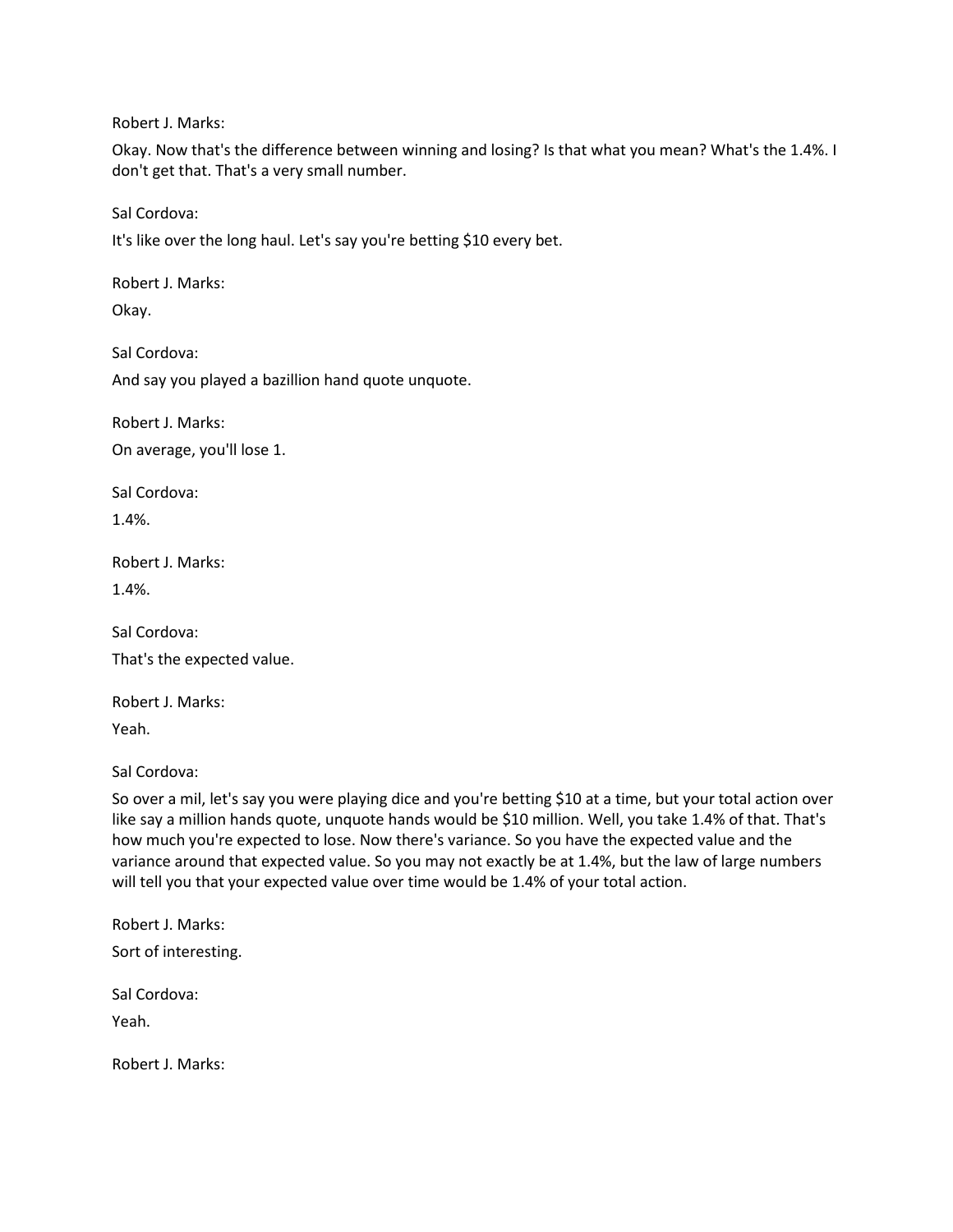Robert J. Marks:

Okay. Now that's the difference between winning and losing? Is that what you mean? What's the 1.4%. I don't get that. That's a very small number.

Sal Cordova:

It's like over the long haul. Let's say you're betting \$10 every bet.

Robert J. Marks:

Okay.

Sal Cordova:

And say you played a bazillion hand quote unquote.

Robert J. Marks: On average, you'll lose 1.

Sal Cordova: 1.4%.

Robert J. Marks:

1.4%.

Sal Cordova: That's the expected value.

Robert J. Marks: Yeah.

Sal Cordova:

So over a mil, let's say you were playing dice and you're betting \$10 at a time, but your total action over like say a million hands quote, unquote hands would be \$10 million. Well, you take 1.4% of that. That's how much you're expected to lose. Now there's variance. So you have the expected value and the variance around that expected value. So you may not exactly be at 1.4%, but the law of large numbers will tell you that your expected value over time would be 1.4% of your total action.

Robert J. Marks: Sort of interesting.

Sal Cordova:

Yeah.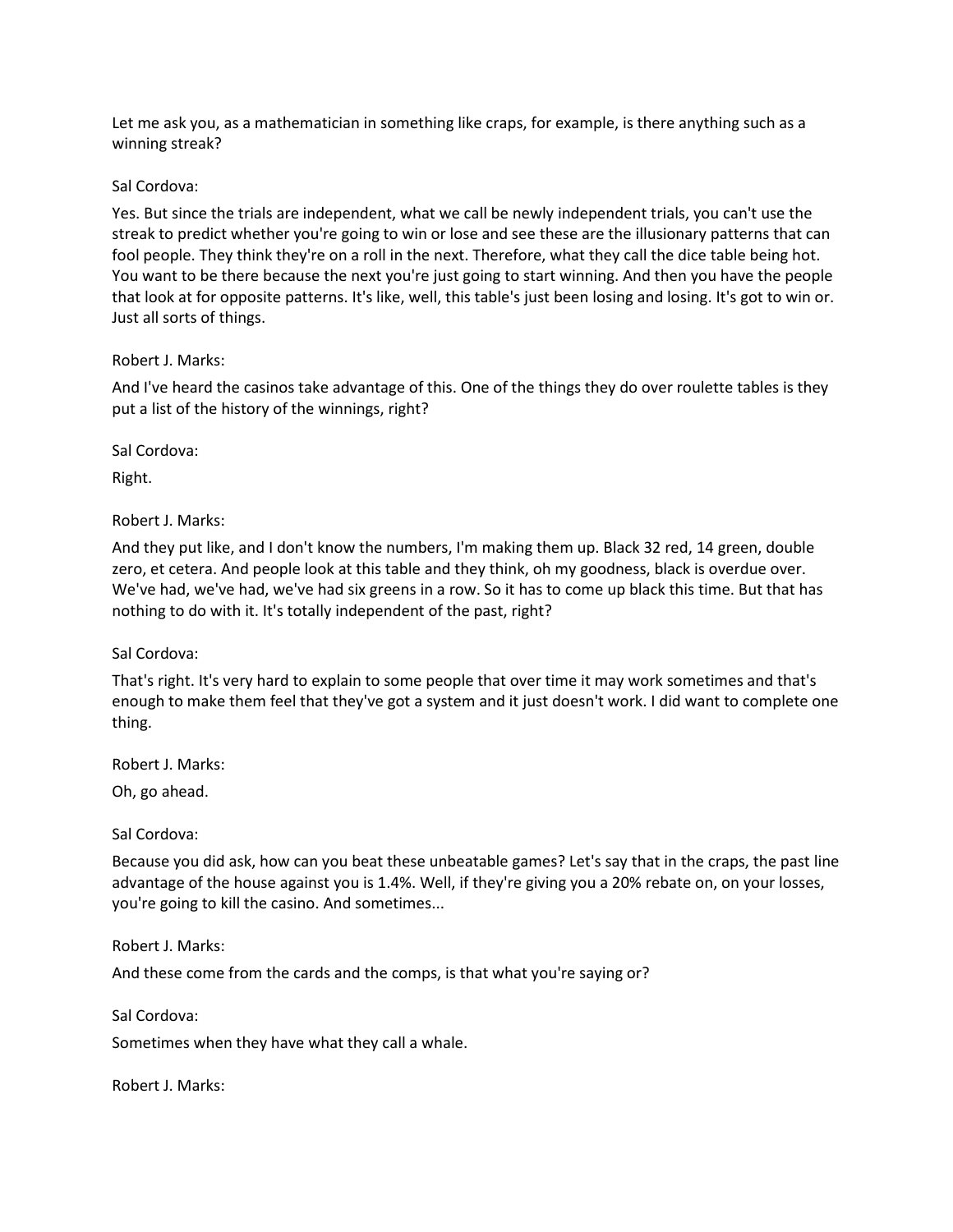Let me ask you, as a mathematician in something like craps, for example, is there anything such as a winning streak?

#### Sal Cordova:

Yes. But since the trials are independent, what we call be newly independent trials, you can't use the streak to predict whether you're going to win or lose and see these are the illusionary patterns that can fool people. They think they're on a roll in the next. Therefore, what they call the dice table being hot. You want to be there because the next you're just going to start winning. And then you have the people that look at for opposite patterns. It's like, well, this table's just been losing and losing. It's got to win or. Just all sorts of things.

## Robert J. Marks:

And I've heard the casinos take advantage of this. One of the things they do over roulette tables is they put a list of the history of the winnings, right?

Sal Cordova:

Right.

Robert J. Marks:

And they put like, and I don't know the numbers, I'm making them up. Black 32 red, 14 green, double zero, et cetera. And people look at this table and they think, oh my goodness, black is overdue over. We've had, we've had, we've had six greens in a row. So it has to come up black this time. But that has nothing to do with it. It's totally independent of the past, right?

# Sal Cordova:

That's right. It's very hard to explain to some people that over time it may work sometimes and that's enough to make them feel that they've got a system and it just doesn't work. I did want to complete one thing.

Robert J. Marks:

Oh, go ahead.

Sal Cordova:

Because you did ask, how can you beat these unbeatable games? Let's say that in the craps, the past line advantage of the house against you is 1.4%. Well, if they're giving you a 20% rebate on, on your losses, you're going to kill the casino. And sometimes...

Robert J. Marks:

And these come from the cards and the comps, is that what you're saying or?

Sal Cordova:

Sometimes when they have what they call a whale.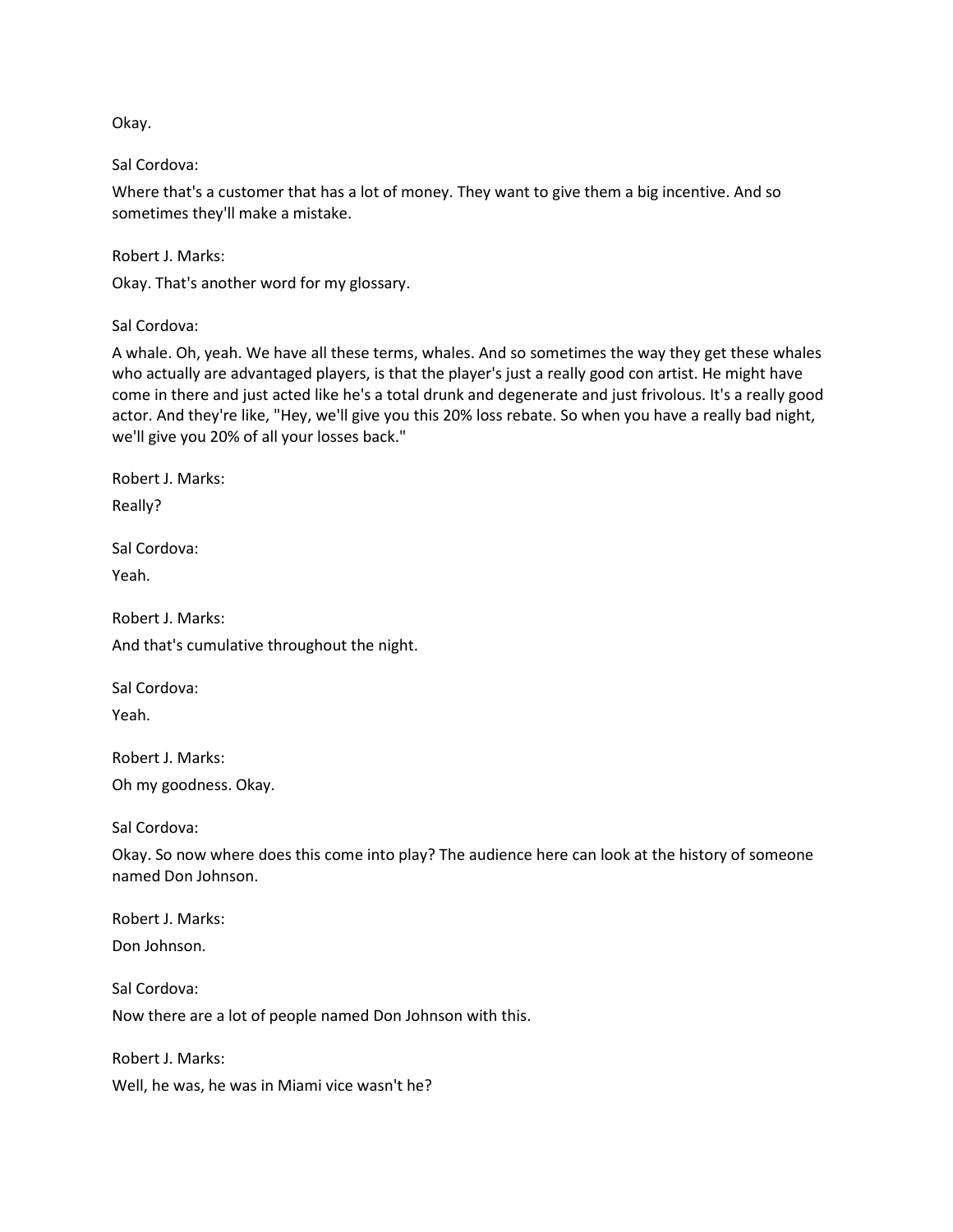Okay.

Sal Cordova:

Where that's a customer that has a lot of money. They want to give them a big incentive. And so sometimes they'll make a mistake.

Robert J. Marks:

Okay. That's another word for my glossary.

Sal Cordova:

A whale. Oh, yeah. We have all these terms, whales. And so sometimes the way they get these whales who actually are advantaged players, is that the player's just a really good con artist. He might have come in there and just acted like he's a total drunk and degenerate and just frivolous. It's a really good actor. And they're like, "Hey, we'll give you this 20% loss rebate. So when you have a really bad night, we'll give you 20% of all your losses back."

Robert J. Marks:

Really?

Sal Cordova:

Yeah.

Robert J. Marks: And that's cumulative throughout the night.

Sal Cordova: Yeah.

Robert J. Marks: Oh my goodness. Okay.

Sal Cordova:

Okay. So now where does this come into play? The audience here can look at the history of someone named Don Johnson.

Robert J. Marks: Don Johnson.

Sal Cordova: Now there are a lot of people named Don Johnson with this.

Robert J. Marks: Well, he was, he was in Miami vice wasn't he?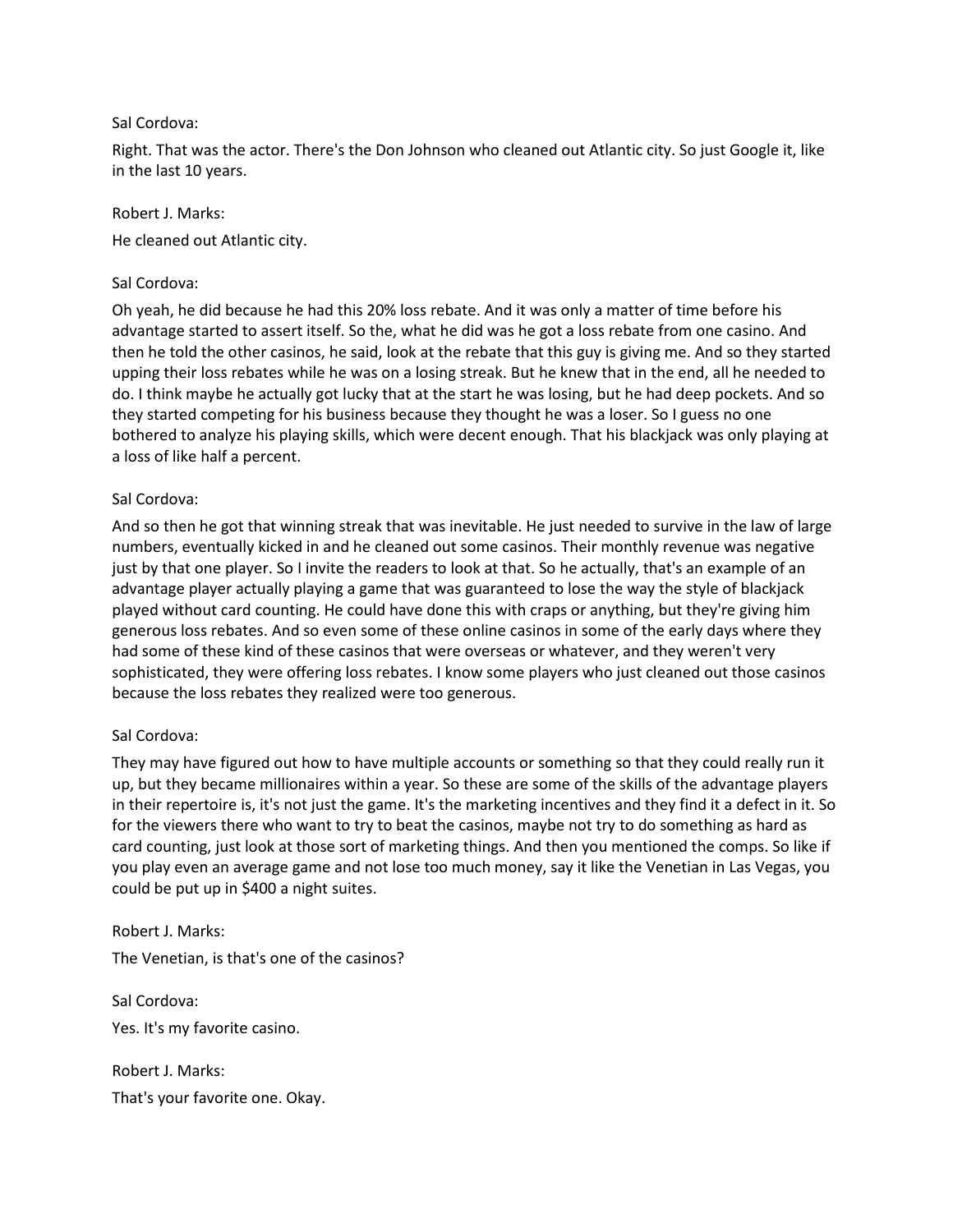## Sal Cordova:

Right. That was the actor. There's the Don Johnson who cleaned out Atlantic city. So just Google it, like in the last 10 years.

## Robert J. Marks:

He cleaned out Atlantic city.

# Sal Cordova:

Oh yeah, he did because he had this 20% loss rebate. And it was only a matter of time before his advantage started to assert itself. So the, what he did was he got a loss rebate from one casino. And then he told the other casinos, he said, look at the rebate that this guy is giving me. And so they started upping their loss rebates while he was on a losing streak. But he knew that in the end, all he needed to do. I think maybe he actually got lucky that at the start he was losing, but he had deep pockets. And so they started competing for his business because they thought he was a loser. So I guess no one bothered to analyze his playing skills, which were decent enough. That his blackjack was only playing at a loss of like half a percent.

# Sal Cordova:

And so then he got that winning streak that was inevitable. He just needed to survive in the law of large numbers, eventually kicked in and he cleaned out some casinos. Their monthly revenue was negative just by that one player. So I invite the readers to look at that. So he actually, that's an example of an advantage player actually playing a game that was guaranteed to lose the way the style of blackjack played without card counting. He could have done this with craps or anything, but they're giving him generous loss rebates. And so even some of these online casinos in some of the early days where they had some of these kind of these casinos that were overseas or whatever, and they weren't very sophisticated, they were offering loss rebates. I know some players who just cleaned out those casinos because the loss rebates they realized were too generous.

# Sal Cordova:

They may have figured out how to have multiple accounts or something so that they could really run it up, but they became millionaires within a year. So these are some of the skills of the advantage players in their repertoire is, it's not just the game. It's the marketing incentives and they find it a defect in it. So for the viewers there who want to try to beat the casinos, maybe not try to do something as hard as card counting, just look at those sort of marketing things. And then you mentioned the comps. So like if you play even an average game and not lose too much money, say it like the Venetian in Las Vegas, you could be put up in \$400 a night suites.

Robert J. Marks: The Venetian, is that's one of the casinos?

Sal Cordova: Yes. It's my favorite casino.

Robert J. Marks: That's your favorite one. Okay.